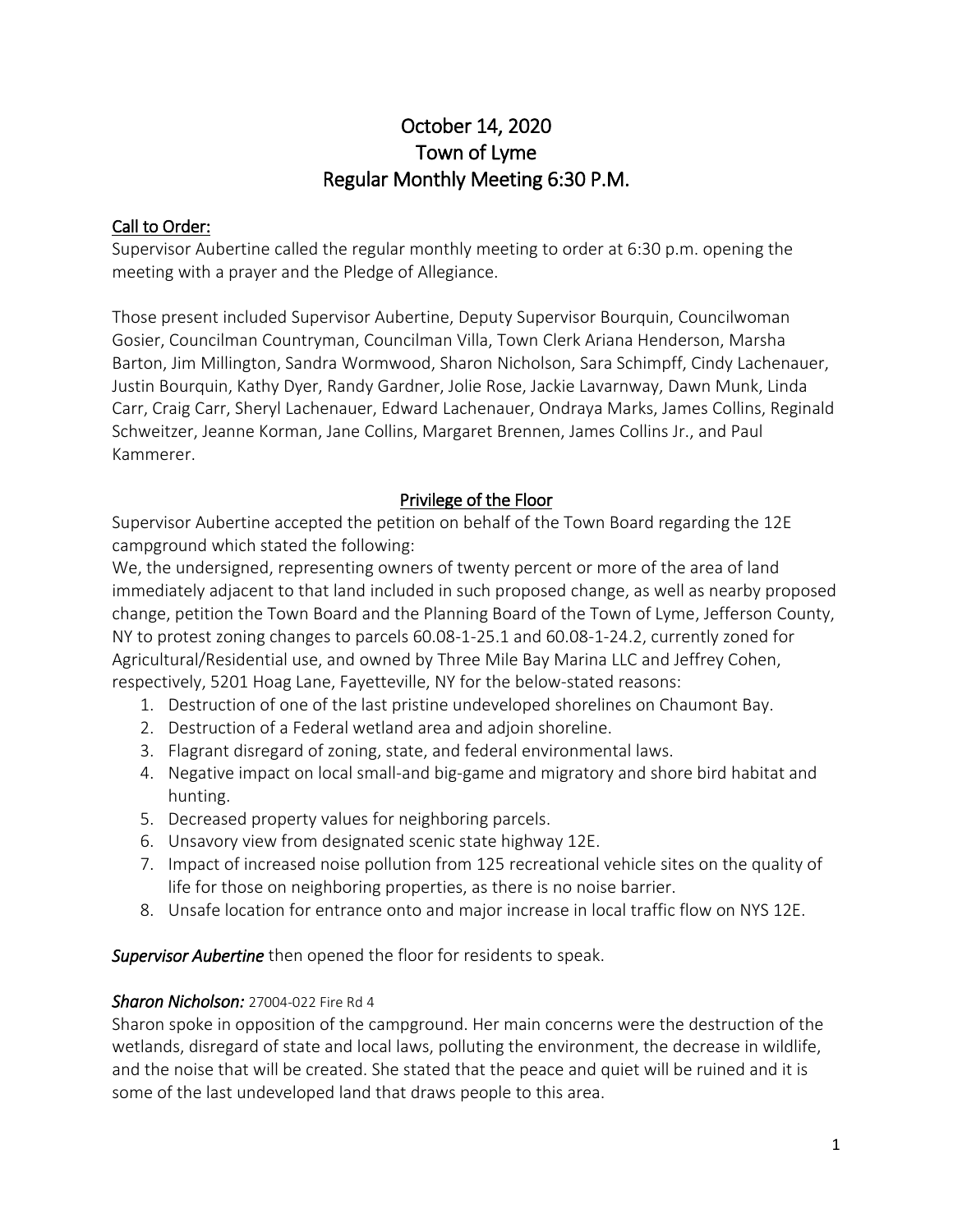# October 14, 2020 Town of Lyme Regular Monthly Meeting 6:30 P.M.

## Call to Order:

Supervisor Aubertine called the regular monthly meeting to order at 6:30 p.m. opening the meeting with a prayer and the Pledge of Allegiance.

Those present included Supervisor Aubertine, Deputy Supervisor Bourquin, Councilwoman Gosier, Councilman Countryman, Councilman Villa, Town Clerk Ariana Henderson, Marsha Barton, Jim Millington, Sandra Wormwood, Sharon Nicholson, Sara Schimpff, Cindy Lachenauer, Justin Bourquin, Kathy Dyer, Randy Gardner, Jolie Rose, Jackie Lavarnway, Dawn Munk, Linda Carr, Craig Carr, Sheryl Lachenauer, Edward Lachenauer, Ondraya Marks, James Collins, Reginald Schweitzer, Jeanne Korman, Jane Collins, Margaret Brennen, James Collins Jr., and Paul Kammerer.

## Privilege of the Floor

Supervisor Aubertine accepted the petition on behalf of the Town Board regarding the 12E campground which stated the following:

We, the undersigned, representing owners of twenty percent or more of the area of land immediately adjacent to that land included in such proposed change, as well as nearby proposed change, petition the Town Board and the Planning Board of the Town of Lyme, Jefferson County, NY to protest zoning changes to parcels 60.08-1-25.1 and 60.08-1-24.2, currently zoned for Agricultural/Residential use, and owned by Three Mile Bay Marina LLC and Jeffrey Cohen, respectively, 5201 Hoag Lane, Fayetteville, NY for the below-stated reasons:

- 1. Destruction of one of the last pristine undeveloped shorelines on Chaumont Bay.
- 2. Destruction of a Federal wetland area and adjoin shoreline.
- 3. Flagrant disregard of zoning, state, and federal environmental laws.
- 4. Negative impact on local small-and big-game and migratory and shore bird habitat and hunting.
- 5. Decreased property values for neighboring parcels.
- 6. Unsavory view from designated scenic state highway 12E.
- 7. Impact of increased noise pollution from 125 recreational vehicle sites on the quality of life for those on neighboring properties, as there is no noise barrier.
- 8. Unsafe location for entrance onto and major increase in local traffic flow on NYS 12E.

*Supervisor Aubertine* then opened the floor for residents to speak.

### *Sharon Nicholson:* 27004-022 Fire Rd 4

Sharon spoke in opposition of the campground. Her main concerns were the destruction of the wetlands, disregard of state and local laws, polluting the environment, the decrease in wildlife, and the noise that will be created. She stated that the peace and quiet will be ruined and it is some of the last undeveloped land that draws people to this area.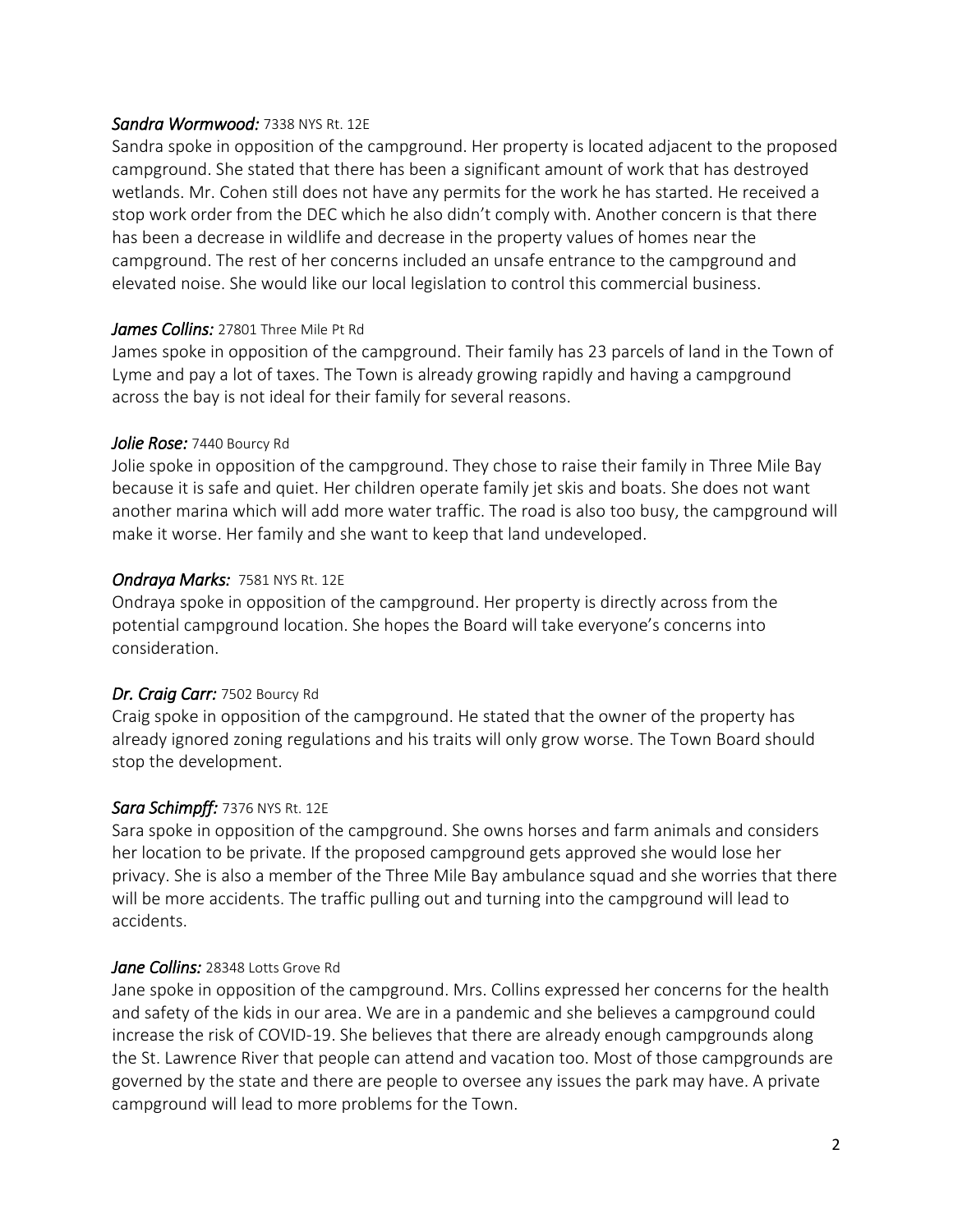#### *Sandra Wormwood:* 7338 NYS Rt. 12E

Sandra spoke in opposition of the campground. Her property is located adjacent to the proposed campground. She stated that there has been a significant amount of work that has destroyed wetlands. Mr. Cohen still does not have any permits for the work he has started. He received a stop work order from the DEC which he also didn't comply with. Another concern is that there has been a decrease in wildlife and decrease in the property values of homes near the campground. The rest of her concerns included an unsafe entrance to the campground and elevated noise. She would like our local legislation to control this commercial business.

#### *James Collins:* 27801 Three Mile Pt Rd

James spoke in opposition of the campground. Their family has 23 parcels of land in the Town of Lyme and pay a lot of taxes. The Town is already growing rapidly and having a campground across the bay is not ideal for their family for several reasons.

#### *Jolie Rose:* 7440 Bourcy Rd

Jolie spoke in opposition of the campground. They chose to raise their family in Three Mile Bay because it is safe and quiet. Her children operate family jet skis and boats. She does not want another marina which will add more water traffic. The road is also too busy, the campground will make it worse. Her family and she want to keep that land undeveloped.

#### *Ondraya Marks:* 7581 NYS Rt. 12E

Ondraya spoke in opposition of the campground. Her property is directly across from the potential campground location. She hopes the Board will take everyone's concerns into consideration.

#### *Dr. Craig Carr:* 7502 Bourcy Rd

Craig spoke in opposition of the campground. He stated that the owner of the property has already ignored zoning regulations and his traits will only grow worse. The Town Board should stop the development.

### *Sara Schimpff:* 7376 NYS Rt. 12E

Sara spoke in opposition of the campground. She owns horses and farm animals and considers her location to be private. If the proposed campground gets approved she would lose her privacy. She is also a member of the Three Mile Bay ambulance squad and she worries that there will be more accidents. The traffic pulling out and turning into the campground will lead to accidents.

### *Jane Collins:* 28348 Lotts Grove Rd

Jane spoke in opposition of the campground. Mrs. Collins expressed her concerns for the health and safety of the kids in our area. We are in a pandemic and she believes a campground could increase the risk of COVID-19. She believes that there are already enough campgrounds along the St. Lawrence River that people can attend and vacation too. Most of those campgrounds are governed by the state and there are people to oversee any issues the park may have. A private campground will lead to more problems for the Town.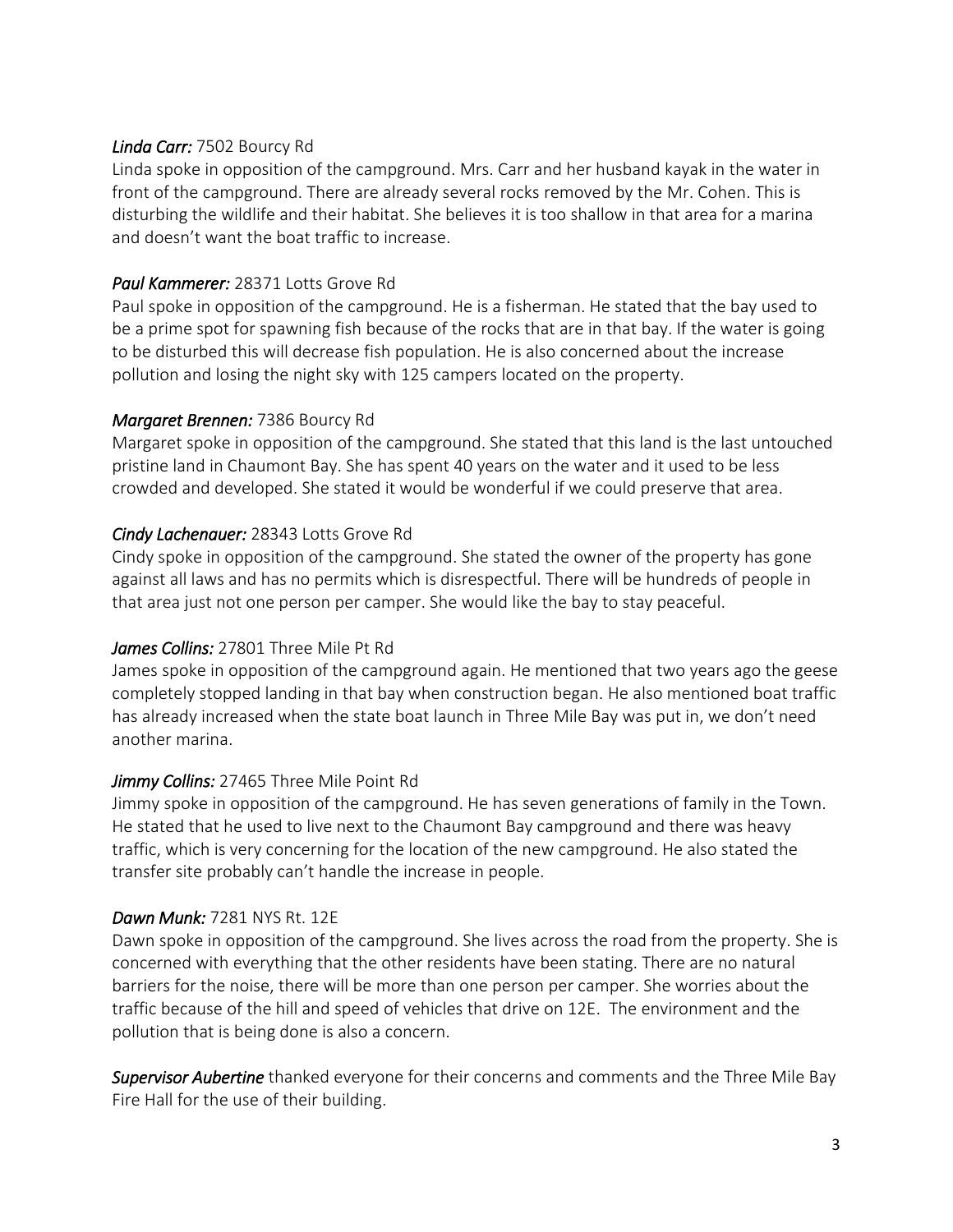#### *Linda Carr:* 7502 Bourcy Rd

Linda spoke in opposition of the campground. Mrs. Carr and her husband kayak in the water in front of the campground. There are already several rocks removed by the Mr. Cohen. This is disturbing the wildlife and their habitat. She believes it is too shallow in that area for a marina and doesn't want the boat traffic to increase.

#### *Paul Kammerer:* 28371 Lotts Grove Rd

Paul spoke in opposition of the campground. He is a fisherman. He stated that the bay used to be a prime spot for spawning fish because of the rocks that are in that bay. If the water is going to be disturbed this will decrease fish population. He is also concerned about the increase pollution and losing the night sky with 125 campers located on the property.

#### *Margaret Brennen:* 7386 Bourcy Rd

Margaret spoke in opposition of the campground. She stated that this land is the last untouched pristine land in Chaumont Bay. She has spent 40 years on the water and it used to be less crowded and developed. She stated it would be wonderful if we could preserve that area.

### *Cindy Lachenauer:* 28343 Lotts Grove Rd

Cindy spoke in opposition of the campground. She stated the owner of the property has gone against all laws and has no permits which is disrespectful. There will be hundreds of people in that area just not one person per camper. She would like the bay to stay peaceful.

### *James Collins:* 27801 Three Mile Pt Rd

James spoke in opposition of the campground again. He mentioned that two years ago the geese completely stopped landing in that bay when construction began. He also mentioned boat traffic has already increased when the state boat launch in Three Mile Bay was put in, we don't need another marina.

### *Jimmy Collins:* 27465 Three Mile Point Rd

Jimmy spoke in opposition of the campground. He has seven generations of family in the Town. He stated that he used to live next to the Chaumont Bay campground and there was heavy traffic, which is very concerning for the location of the new campground. He also stated the transfer site probably can't handle the increase in people.

#### *Dawn Munk:* 7281 NYS Rt. 12E

Dawn spoke in opposition of the campground. She lives across the road from the property. She is concerned with everything that the other residents have been stating. There are no natural barriers for the noise, there will be more than one person per camper. She worries about the traffic because of the hill and speed of vehicles that drive on 12E. The environment and the pollution that is being done is also a concern.

*Supervisor Aubertine* thanked everyone for their concerns and comments and the Three Mile Bay Fire Hall for the use of their building.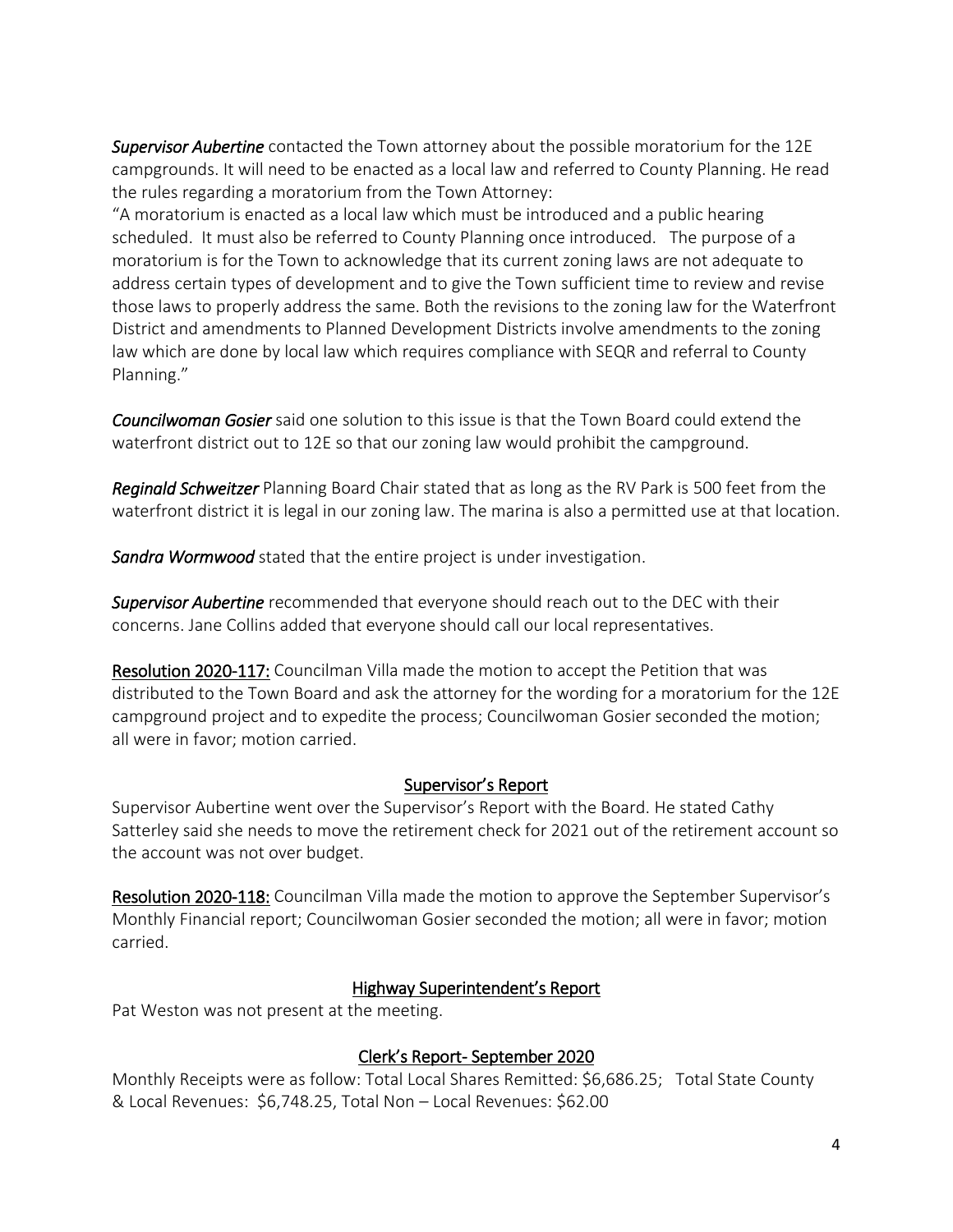*Supervisor Aubertine* contacted the Town attorney about the possible moratorium for the 12E campgrounds. It will need to be enacted as a local law and referred to County Planning. He read the rules regarding a moratorium from the Town Attorney:

"A moratorium is enacted as a local law which must be introduced and a public hearing scheduled. It must also be referred to County Planning once introduced. The purpose of a moratorium is for the Town to acknowledge that its current zoning laws are not adequate to address certain types of development and to give the Town sufficient time to review and revise those laws to properly address the same. Both the revisions to the zoning law for the Waterfront District and amendments to Planned Development Districts involve amendments to the zoning law which are done by local law which requires compliance with SEQR and referral to County Planning."

*Councilwoman Gosier* said one solution to this issue is that the Town Board could extend the waterfront district out to 12E so that our zoning law would prohibit the campground.

*Reginald Schweitzer* Planning Board Chair stated that as long as the RV Park is 500 feet from the waterfront district it is legal in our zoning law. The marina is also a permitted use at that location.

*Sandra Wormwood* stated that the entire project is under investigation.

*Supervisor Aubertine* recommended that everyone should reach out to the DEC with their concerns. Jane Collins added that everyone should call our local representatives.

Resolution 2020-117: Councilman Villa made the motion to accept the Petition that was distributed to the Town Board and ask the attorney for the wording for a moratorium for the 12E campground project and to expedite the process; Councilwoman Gosier seconded the motion; all were in favor; motion carried.

### Supervisor's Report

Supervisor Aubertine went over the Supervisor's Report with the Board. He stated Cathy Satterley said she needs to move the retirement check for 2021 out of the retirement account so the account was not over budget.

Resolution 2020-118: Councilman Villa made the motion to approve the September Supervisor's Monthly Financial report; Councilwoman Gosier seconded the motion; all were in favor; motion carried.

### Highway Superintendent's Report

Pat Weston was not present at the meeting.

## Clerk's Report- September 2020

Monthly Receipts were as follow: Total Local Shares Remitted: \$6,686.25; Total State County & Local Revenues: \$6,748.25, Total Non – Local Revenues: \$62.00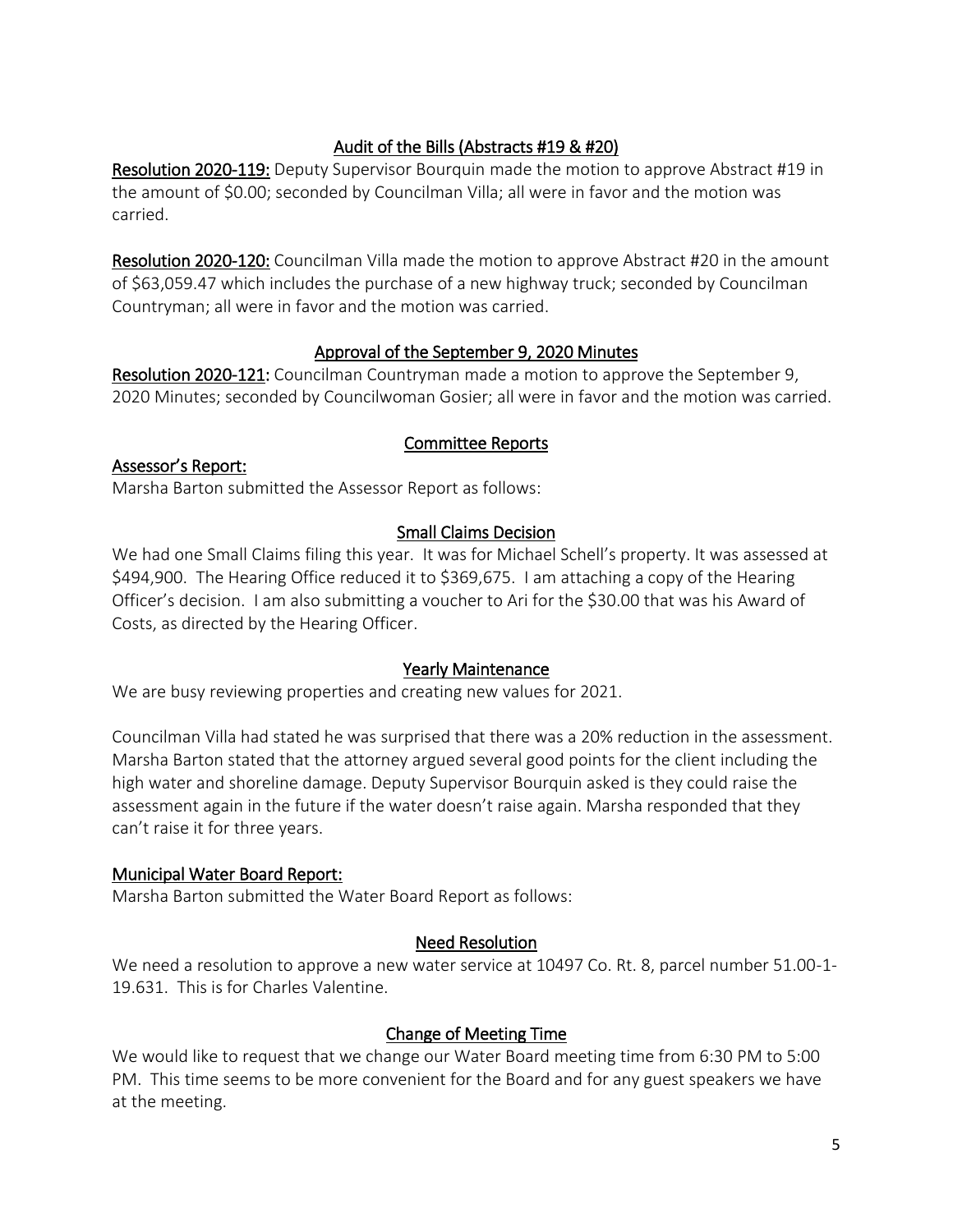## Audit of the Bills (Abstracts #19 & #20)

Resolution 2020-119: Deputy Supervisor Bourquin made the motion to approve Abstract #19 in the amount of \$0.00; seconded by Councilman Villa; all were in favor and the motion was carried.

Resolution 2020-120: Councilman Villa made the motion to approve Abstract #20 in the amount of \$63,059.47 which includes the purchase of a new highway truck; seconded by Councilman Countryman; all were in favor and the motion was carried.

## Approval of the September 9, 2020 Minutes

Resolution 2020-121: Councilman Countryman made a motion to approve the September 9, 2020 Minutes; seconded by Councilwoman Gosier; all were in favor and the motion was carried.

### Committee Reports

## Assessor's Report:

Marsha Barton submitted the Assessor Report as follows:

### Small Claims Decision

We had one Small Claims filing this year. It was for Michael Schell's property. It was assessed at \$494,900. The Hearing Office reduced it to \$369,675. I am attaching a copy of the Hearing Officer's decision. I am also submitting a voucher to Ari for the \$30.00 that was his Award of Costs, as directed by the Hearing Officer.

### Yearly Maintenance

We are busy reviewing properties and creating new values for 2021.

Councilman Villa had stated he was surprised that there was a 20% reduction in the assessment. Marsha Barton stated that the attorney argued several good points for the client including the high water and shoreline damage. Deputy Supervisor Bourquin asked is they could raise the assessment again in the future if the water doesn't raise again. Marsha responded that they can't raise it for three years.

### Municipal Water Board Report:

Marsha Barton submitted the Water Board Report as follows:

### Need Resolution

We need a resolution to approve a new water service at 10497 Co. Rt. 8, parcel number 51.00-1-19.631. This is for Charles Valentine.

## Change of Meeting Time

We would like to request that we change our Water Board meeting time from 6:30 PM to 5:00 PM. This time seems to be more convenient for the Board and for any guest speakers we have at the meeting.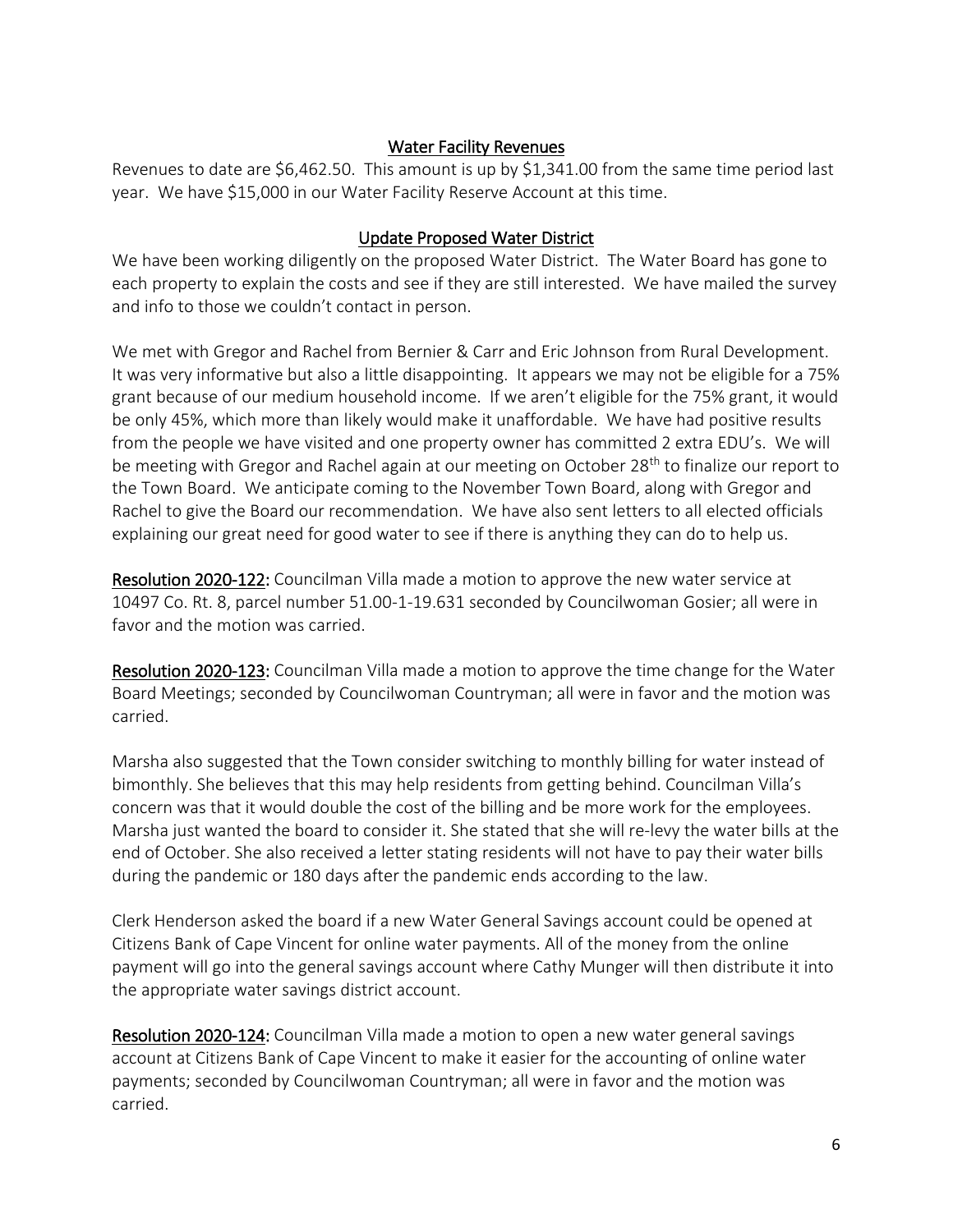### Water Facility Revenues

Revenues to date are \$6,462.50. This amount is up by \$1,341.00 from the same time period last year. We have \$15,000 in our Water Facility Reserve Account at this time.

#### Update Proposed Water District

We have been working diligently on the proposed Water District. The Water Board has gone to each property to explain the costs and see if they are still interested. We have mailed the survey and info to those we couldn't contact in person.

We met with Gregor and Rachel from Bernier & Carr and Eric Johnson from Rural Development. It was very informative but also a little disappointing. It appears we may not be eligible for a 75% grant because of our medium household income. If we aren't eligible for the 75% grant, it would be only 45%, which more than likely would make it unaffordable. We have had positive results from the people we have visited and one property owner has committed 2 extra EDU's. We will be meeting with Gregor and Rachel again at our meeting on October 28<sup>th</sup> to finalize our report to the Town Board. We anticipate coming to the November Town Board, along with Gregor and Rachel to give the Board our recommendation. We have also sent letters to all elected officials explaining our great need for good water to see if there is anything they can do to help us.

Resolution 2020-122: Councilman Villa made a motion to approve the new water service at 10497 Co. Rt. 8, parcel number 51.00-1-19.631 seconded by Councilwoman Gosier; all were in favor and the motion was carried.

Resolution 2020-123: Councilman Villa made a motion to approve the time change for the Water Board Meetings; seconded by Councilwoman Countryman; all were in favor and the motion was carried.

Marsha also suggested that the Town consider switching to monthly billing for water instead of bimonthly. She believes that this may help residents from getting behind. Councilman Villa's concern was that it would double the cost of the billing and be more work for the employees. Marsha just wanted the board to consider it. She stated that she will re-levy the water bills at the end of October. She also received a letter stating residents will not have to pay their water bills during the pandemic or 180 days after the pandemic ends according to the law.

Clerk Henderson asked the board if a new Water General Savings account could be opened at Citizens Bank of Cape Vincent for online water payments. All of the money from the online payment will go into the general savings account where Cathy Munger will then distribute it into the appropriate water savings district account.

Resolution 2020-124: Councilman Villa made a motion to open a new water general savings account at Citizens Bank of Cape Vincent to make it easier for the accounting of online water payments; seconded by Councilwoman Countryman; all were in favor and the motion was carried.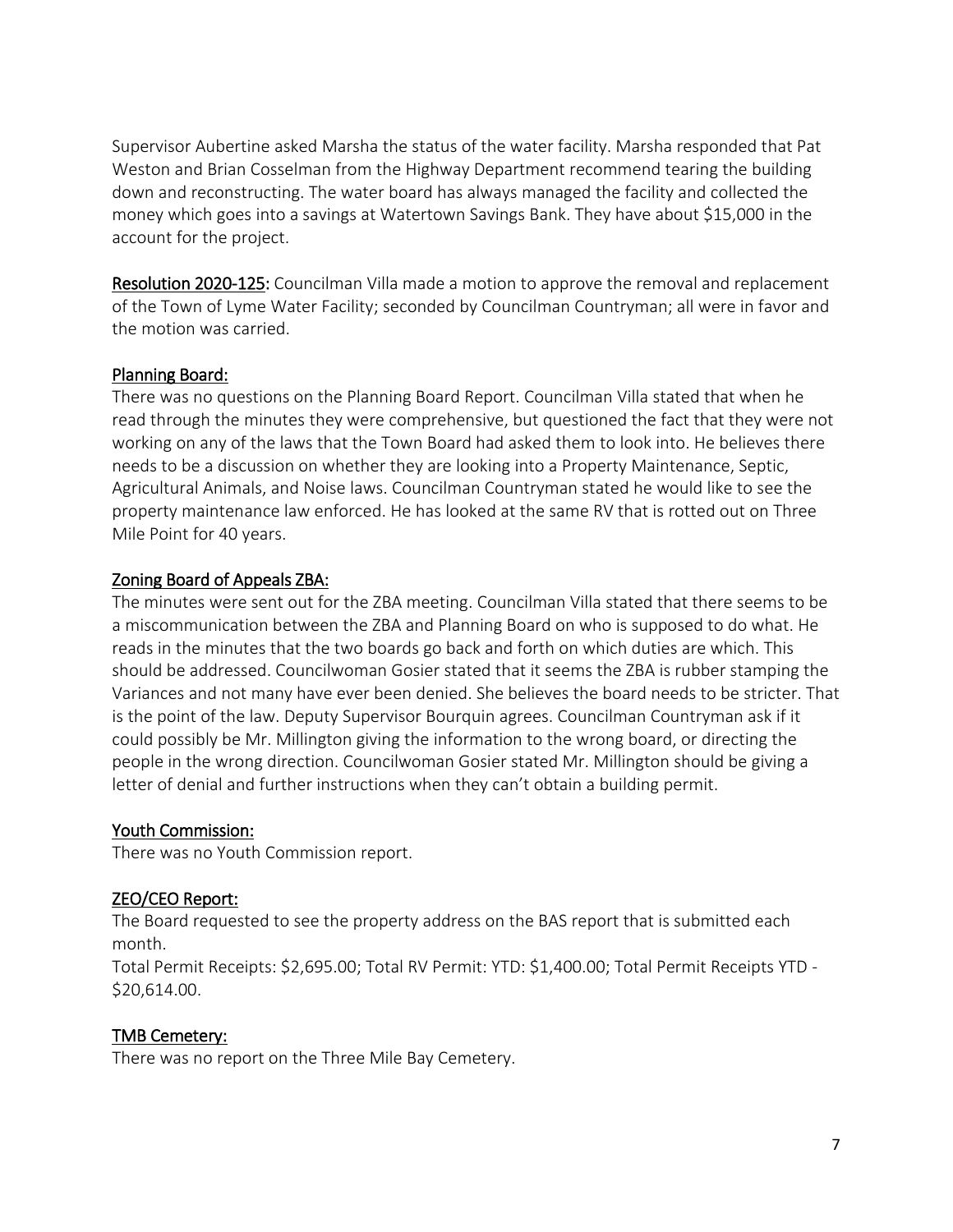Supervisor Aubertine asked Marsha the status of the water facility. Marsha responded that Pat Weston and Brian Cosselman from the Highway Department recommend tearing the building down and reconstructing. The water board has always managed the facility and collected the money which goes into a savings at Watertown Savings Bank. They have about \$15,000 in the account for the project.

Resolution 2020-125: Councilman Villa made a motion to approve the removal and replacement of the Town of Lyme Water Facility; seconded by Councilman Countryman; all were in favor and the motion was carried.

#### Planning Board:

There was no questions on the Planning Board Report. Councilman Villa stated that when he read through the minutes they were comprehensive, but questioned the fact that they were not working on any of the laws that the Town Board had asked them to look into. He believes there needs to be a discussion on whether they are looking into a Property Maintenance, Septic, Agricultural Animals, and Noise laws. Councilman Countryman stated he would like to see the property maintenance law enforced. He has looked at the same RV that is rotted out on Three Mile Point for 40 years.

#### Zoning Board of Appeals ZBA:

The minutes were sent out for the ZBA meeting. Councilman Villa stated that there seems to be a miscommunication between the ZBA and Planning Board on who is supposed to do what. He reads in the minutes that the two boards go back and forth on which duties are which. This should be addressed. Councilwoman Gosier stated that it seems the ZBA is rubber stamping the Variances and not many have ever been denied. She believes the board needs to be stricter. That is the point of the law. Deputy Supervisor Bourquin agrees. Councilman Countryman ask if it could possibly be Mr. Millington giving the information to the wrong board, or directing the people in the wrong direction. Councilwoman Gosier stated Mr. Millington should be giving a letter of denial and further instructions when they can't obtain a building permit.

### Youth Commission:

There was no Youth Commission report.

### ZEO/CEO Report:

The Board requested to see the property address on the BAS report that is submitted each month.

Total Permit Receipts: \$2,695.00; Total RV Permit: YTD: \$1,400.00; Total Permit Receipts YTD - \$20,614.00.

### TMB Cemetery:

There was no report on the Three Mile Bay Cemetery.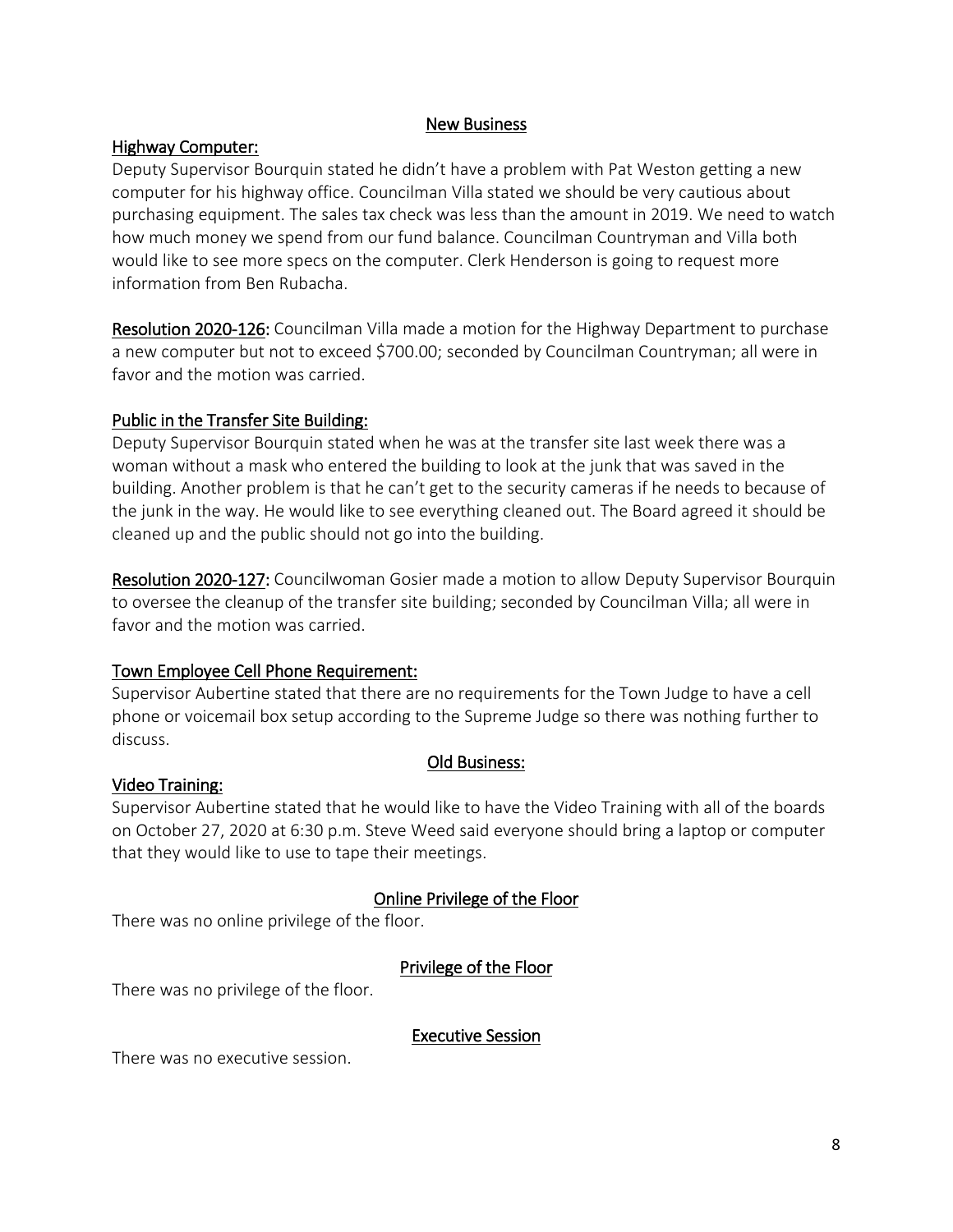#### New Business

### Highway Computer:

Deputy Supervisor Bourquin stated he didn't have a problem with Pat Weston getting a new computer for his highway office. Councilman Villa stated we should be very cautious about purchasing equipment. The sales tax check was less than the amount in 2019. We need to watch how much money we spend from our fund balance. Councilman Countryman and Villa both would like to see more specs on the computer. Clerk Henderson is going to request more information from Ben Rubacha.

Resolution 2020-126: Councilman Villa made a motion for the Highway Department to purchase a new computer but not to exceed \$700.00; seconded by Councilman Countryman; all were in favor and the motion was carried.

## Public in the Transfer Site Building:

Deputy Supervisor Bourquin stated when he was at the transfer site last week there was a woman without a mask who entered the building to look at the junk that was saved in the building. Another problem is that he can't get to the security cameras if he needs to because of the junk in the way. He would like to see everything cleaned out. The Board agreed it should be cleaned up and the public should not go into the building.

Resolution 2020-127: Councilwoman Gosier made a motion to allow Deputy Supervisor Bourquin to oversee the cleanup of the transfer site building; seconded by Councilman Villa; all were in favor and the motion was carried.

## Town Employee Cell Phone Requirement:

Supervisor Aubertine stated that there are no requirements for the Town Judge to have a cell phone or voicemail box setup according to the Supreme Judge so there was nothing further to discuss.

### Old Business:

### Video Training:

Supervisor Aubertine stated that he would like to have the Video Training with all of the boards on October 27, 2020 at 6:30 p.m. Steve Weed said everyone should bring a laptop or computer that they would like to use to tape their meetings.

## Online Privilege of the Floor

There was no online privilege of the floor.

## Privilege of the Floor

There was no privilege of the floor.

### Executive Session

There was no executive session.